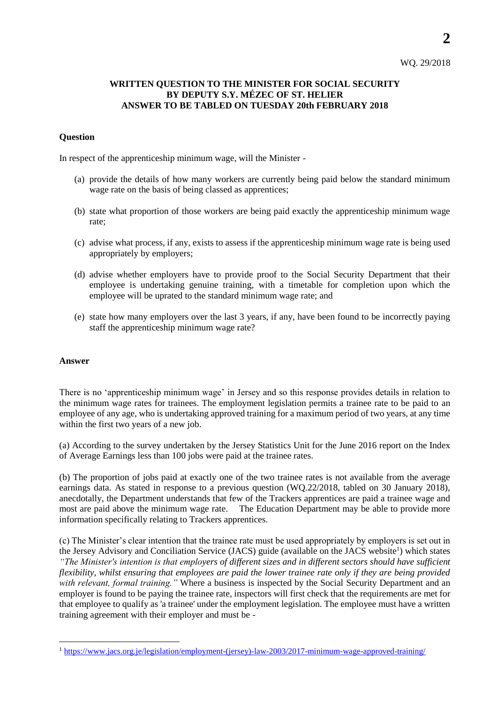## **WRITTEN QUESTION TO THE MINISTER FOR SOCIAL SECURITY BY DEPUTY S.Y. MÉZEC OF ST. HELIER ANSWER TO BE TABLED ON TUESDAY 20th FEBRUARY 2018**

## **Question**

In respect of the apprenticeship minimum wage, will the Minister -

- (a) provide the details of how many workers are currently being paid below the standard minimum wage rate on the basis of being classed as apprentices;
- (b) state what proportion of those workers are being paid exactly the apprenticeship minimum wage rate;
- (c) advise what process, if any, exists to assess if the apprenticeship minimum wage rate is being used appropriately by employers;
- (d) advise whether employers have to provide proof to the Social Security Department that their employee is undertaking genuine training, with a timetable for completion upon which the employee will be uprated to the standard minimum wage rate; and
- (e) state how many employers over the last 3 years, if any, have been found to be incorrectly paying staff the apprenticeship minimum wage rate?

## **Answer**

l

There is no 'apprenticeship minimum wage' in Jersey and so this response provides details in relation to the minimum wage rates for trainees. The employment legislation permits a trainee rate to be paid to an employee of any age, who is undertaking approved training for a maximum period of two years, at any time within the first two years of a new job.

(a) According to the survey undertaken by the Jersey Statistics Unit for the June 2016 report on the Index of Average Earnings less than 100 jobs were paid at the trainee rates.

(b) The proportion of jobs paid at exactly one of the two trainee rates is not available from the average earnings data. As stated in response to a previous question (WQ.22/2018, tabled on 30 January 2018), anecdotally, the Department understands that few of the Trackers apprentices are paid a trainee wage and most are paid above the minimum wage rate. The Education Department may be able to provide more information specifically relating to Trackers apprentices.

(c) The Minister's clear intention that the trainee rate must be used appropriately by employers is set out in the Jersey Advisory and Conciliation Service (JACS) guide (available on the JACS website<sup>1</sup>) which states *"The Minister's intention is that employers of different sizes and in different sectors should have sufficient flexibility, whilst ensuring that employees are paid the lower trainee rate only if they are being provided with relevant, formal training."* Where a business is inspected by the Social Security Department and an employer is found to be paying the trainee rate, inspectors will first check that the requirements are met for that employee to qualify as 'a trainee' under the employment legislation. The employee must have a written training agreement with their employer and must be -

<sup>1</sup> [https://www.jacs.org.je/legislation/employment-\(jersey\)-law-2003/2017-minimum-wage-approved-training/](https://www.jacs.org.je/legislation/employment-(jersey)-law-2003/2017-minimum-wage-approved-training/)